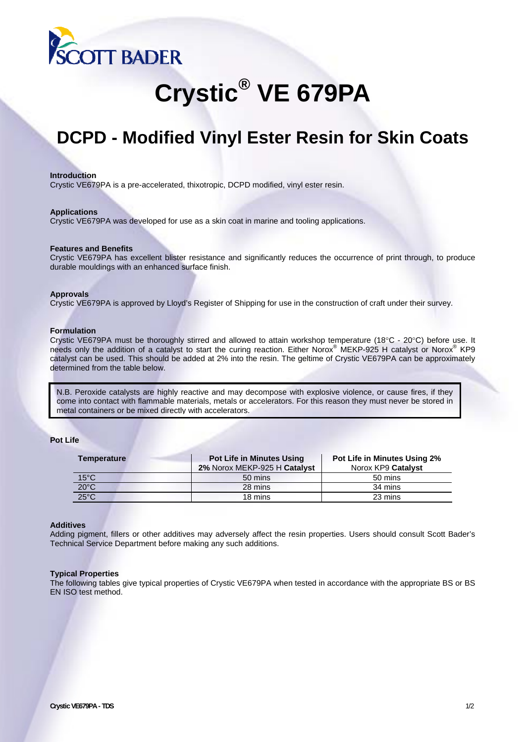

# **Crystic® VE 679PA**

# **DCPD - Modified Vinyl Ester Resin for Skin Coats**

# **Introduction**

Crystic VE679PA is a pre-accelerated, thixotropic, DCPD modified, vinyl ester resin.

# **Applications**

Crystic VE679PA was developed for use as a skin coat in marine and tooling applications.

# **Features and Benefits**

Crystic VE679PA has excellent blister resistance and significantly reduces the occurrence of print through, to produce durable mouldings with an enhanced surface finish.

# **Approvals**

Crystic VE679PA is approved by Lloyd's Register of Shipping for use in the construction of craft under their survey.

# **Formulation**

Crystic VE679PA must be thoroughly stirred and allowed to attain workshop temperature (18°C - 20°C) before use. It needs only the addition of a catalyst to start the curing reaction. Either Norox® MEKP-925 H catalyst or Norox® KP9 catalyst can be used. This should be added at 2% into the resin. The geltime of Crystic VE679PA can be approximately determined from the table below.

N.B. Peroxide catalysts are highly reactive and may decompose with explosive violence, or cause fires, if they come into contact with flammable materials, metals or accelerators. For this reason they must never be stored in metal containers or be mixed directly with accelerators.

# **Pot Life**

| <b>Temperature</b>                | <b>Pot Life in Minutes Using</b><br>2% Norox MEKP-925 H Catalyst | <b>Pot Life in Minutes Using 2%</b><br>Norox KP9 Catalyst |
|-----------------------------------|------------------------------------------------------------------|-----------------------------------------------------------|
| $15^{\circ}$ C                    | 50 mins                                                          | 50 mins                                                   |
| $\frac{20^{\circ}C}{25^{\circ}C}$ | 28 mins                                                          | 34 mins                                                   |
|                                   | 18 mins                                                          | 23 mins                                                   |

# **Additives**

Adding pigment, fillers or other additives may adversely affect the resin properties. Users should consult Scott Bader's Technical Service Department before making any such additions.

# **Typical Properties**

The following tables give typical properties of Crystic VE679PA when tested in accordance with the appropriate BS or BS EN ISO test method.